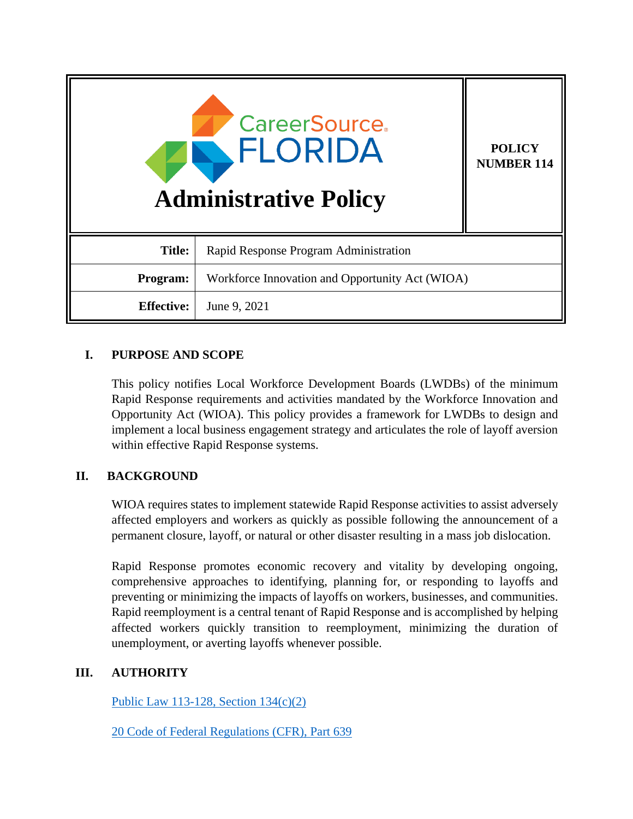| <b>CareerSource</b><br><b>FLORIDA</b><br><b>Administrative Policy</b> |                                                 | <b>POLICY</b><br><b>NUMBER 114</b> |
|-----------------------------------------------------------------------|-------------------------------------------------|------------------------------------|
| <b>Title:</b>                                                         | Rapid Response Program Administration           |                                    |
| Program:                                                              | Workforce Innovation and Opportunity Act (WIOA) |                                    |
| <b>Effective:</b>                                                     | June 9, 2021                                    |                                    |

# **I. PURPOSE AND SCOPE**

This policy notifies Local Workforce Development Boards (LWDBs) of the minimum Rapid Response requirements and activities mandated by the Workforce Innovation and Opportunity Act (WIOA). This policy provides a framework for LWDBs to design and implement a local business engagement strategy and articulates the role of layoff aversion within effective Rapid Response systems.

# **II. BACKGROUND**

WIOA requires states to implement statewide Rapid Response activities to assist adversely affected employers and workers as quickly as possible following the announcement of a permanent closure, layoff, or natural or other disaster resulting in a mass job dislocation.

Rapid Response promotes economic recovery and vitality by developing ongoing, comprehensive approaches to identifying, planning for, or responding to layoffs and preventing or minimizing the impacts of layoffs on workers, businesses, and communities. Rapid reemployment is a central tenant of Rapid Response and is accomplished by helping affected workers quickly transition to reemployment, minimizing the duration of unemployment, or averting layoffs whenever possible.

## **III. AUTHORITY**

[Public Law 113-128, Section 134\(c\)\(2\)](https://www.govinfo.gov/content/pkg/PLAW-113publ128/pdf/PLAW-113publ128.pdf)

[20 Code of Federal Regulations \(CFR\), Part 639](https://www.ecfr.gov/cgi-bin/text-idx?node=pt20.3.639&rgn=div5)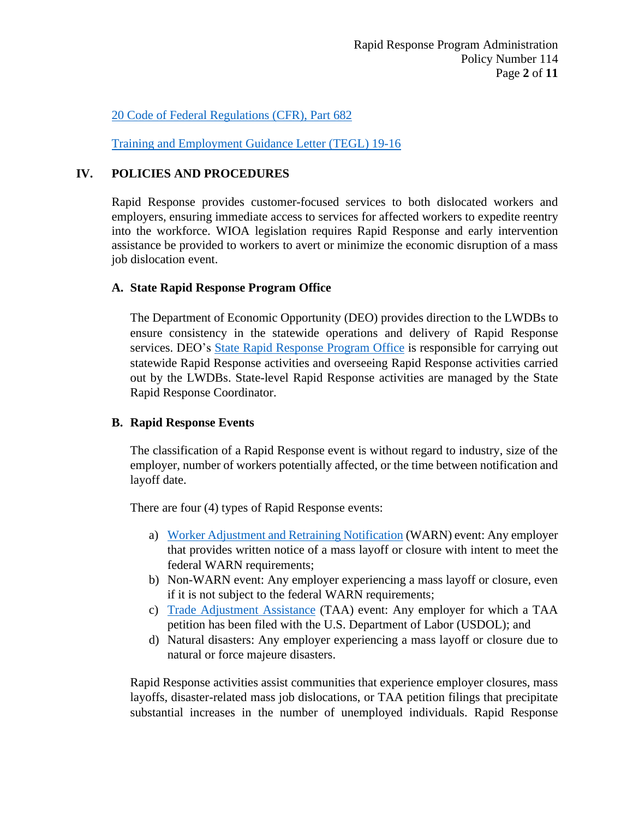[20 Code of Federal Regulations \(CFR\), Part 682](https://ecfr.io/Title-20/pt20.4.682#sp20.4.682.c) 

[Training and Employment Guidance Letter \(TEGL\) 19-16](https://wdr.doleta.gov/directives/corr_doc.cfm?docn=3851)

## **IV. POLICIES AND PROCEDURES**

Rapid Response provides customer-focused services to both dislocated workers and employers, ensuring immediate access to services for affected workers to expedite reentry into the workforce. WIOA legislation requires Rapid Response and early intervention assistance be provided to workers to avert or minimize the economic disruption of a mass job dislocation event.

## **A. State Rapid Response Program Office**

The Department of Economic Opportunity (DEO) provides direction to the LWDBs to ensure consistency in the statewide operations and delivery of Rapid Response services. DEO's State [Rapid Response Program Office](https://floridajobs.org/office-directory/division-of-workforce-services/workforce-programs/reemployment-and-emergency-assistance-coordination-team-react) is responsible for carrying out statewide Rapid Response activities and overseeing Rapid Response activities carried out by the LWDBs. State-level Rapid Response activities are managed by the State Rapid Response Coordinator.

## **B. Rapid Response Events**

The classification of a Rapid Response event is without regard to industry, size of the employer, number of workers potentially affected, or the time between notification and layoff date.

There are four (4) types of Rapid Response events:

- a) [Worker Adjustment and Retraining Notification](http://floridajobs.org/office-directory/division-of-workforce-services/workforce-programs/worker-adjustment-and-retraining-notification-(warn)-act) (WARN) event: Any employer that provides written notice of a mass layoff or closure with intent to meet the federal WARN requirements;
- b) Non-WARN event: Any employer experiencing a mass layoff or closure, even if it is not subject to the federal WARN requirements;
- c) [Trade Adjustment Assistance](https://floridajobs.org/office-directory/division-of-workforce-services/workforce-programs/trade-program) (TAA) event: Any employer for which a TAA petition has been filed with the U.S. Department of Labor (USDOL); and
- d) Natural disasters: Any employer experiencing a mass layoff or closure due to natural or force majeure disasters.

Rapid Response activities assist communities that experience employer closures, mass layoffs, disaster-related mass job dislocations, or TAA petition filings that precipitate substantial increases in the number of unemployed individuals. Rapid Response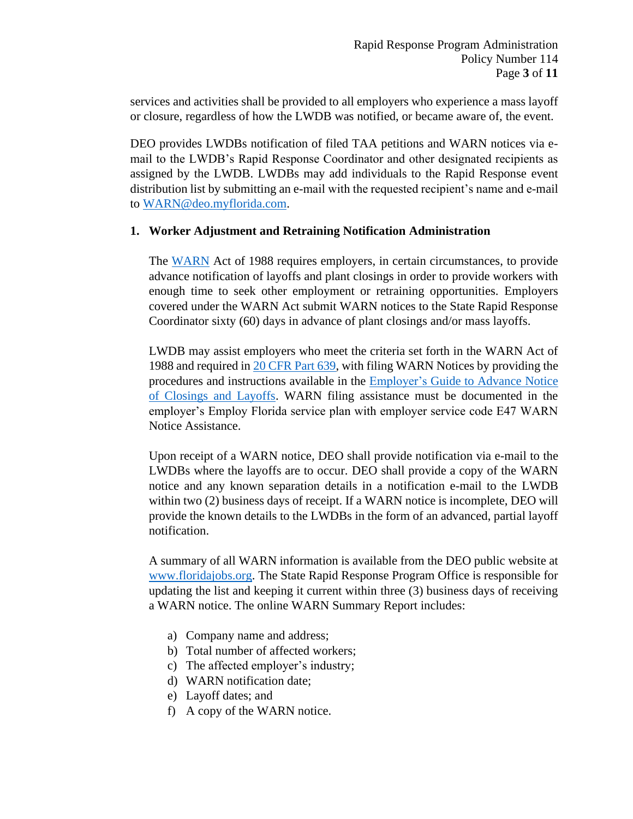services and activities shall be provided to all employers who experience a mass layoff or closure, regardless of how the LWDB was notified, or became aware of, the event.

DEO provides LWDBs notification of filed TAA petitions and WARN notices via email to the LWDB's Rapid Response Coordinator and other designated recipients as assigned by the LWDB. LWDBs may add individuals to the Rapid Response event distribution list by submitting an e-mail with the requested recipient's name and e-mail to [WARN@deo.myflorida.com.](mailto:WARN@deo.myflorida.com)

### **1. Worker Adjustment and Retraining Notification Administration**

The [WARN](http://floridajobs.org/office-directory/division-of-workforce-services/workforce-programs/worker-adjustment-and-retraining-notification-(warn)-act) Act of 1988 requires employers, in certain circumstances, to provide advance notification of layoffs and plant closings in order to provide workers with enough time to seek other employment or retraining opportunities. Employers covered under the WARN Act submit WARN notices to the State Rapid Response Coordinator sixty (60) days in advance of plant closings and/or mass layoffs.

LWDB may assist employers who meet the criteria set forth in the WARN Act of 1988 and required in [20 CFR Part 639,](https://www.ecfr.gov/cgi-bin/text-idx?node=pt20.3.639&rgn=div5) with filing WARN Notices by providing the procedures and instructions available in the Employer's [Guide to Advance Notice](https://www.dol.gov/sites/dolgov/files/ETA/layoff/pdfs/_EmployerWARN2003.pdf)  [of Closings and Layoffs.](https://www.dol.gov/sites/dolgov/files/ETA/layoff/pdfs/_EmployerWARN2003.pdf) WARN filing assistance must be documented in the employer's Employ Florida service plan with employer service code E47 WARN Notice Assistance.

Upon receipt of a WARN notice, DEO shall provide notification via e-mail to the LWDBs where the layoffs are to occur. DEO shall provide a copy of the WARN notice and any known separation details in a notification e-mail to the LWDB within two (2) business days of receipt. If a WARN notice is incomplete, DEO will provide the known details to the LWDBs in the form of an advanced, partial layoff notification.

A summary of all WARN information is available from the DEO public website at [www.floridajobs.org.](http://www.floridajobs.org/) The State Rapid Response Program Office is responsible for updating the list and keeping it current within three (3) business days of receiving a WARN notice. The online WARN Summary Report includes:

- a) Company name and address;
- b) Total number of affected workers;
- c) The affected employer's industry;
- d) WARN notification date;
- e) Layoff dates; and
- f) A copy of the WARN notice.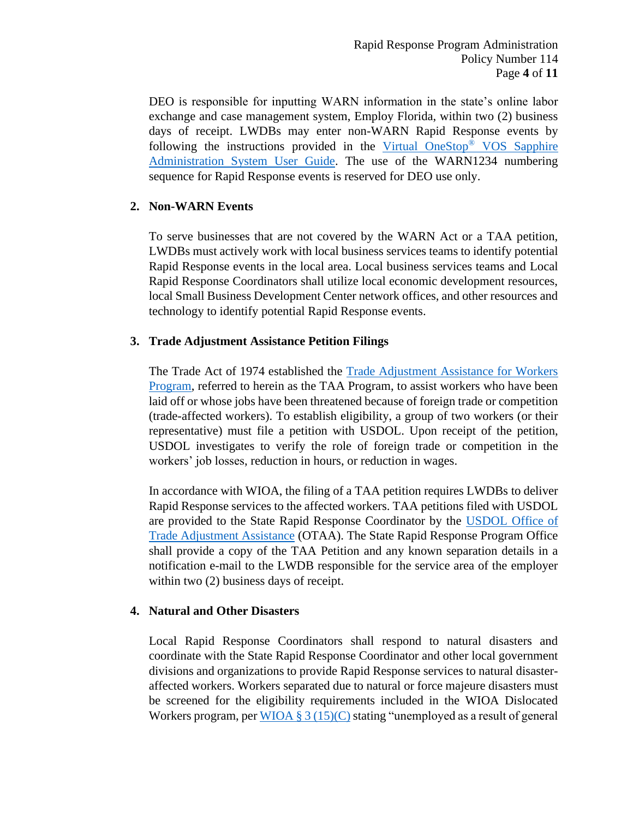DEO is responsible for inputting WARN information in the state's online labor exchange and case management system, Employ Florida, within two (2) business days of receipt. LWDBs may enter non-WARN Rapid Response events by following the instructions provided in the [Virtual OneStop](https://www.employflorida.com/gsipub/index.asp?docid=825)® VOS Sapphire [Administration System User Guide.](https://www.employflorida.com/gsipub/index.asp?docid=825) The use of the WARN1234 numbering sequence for Rapid Response events is reserved for DEO use only.

## **2. Non-WARN Events**

To serve businesses that are not covered by the WARN Act or a TAA petition, LWDBs must actively work with local business services teams to identify potential Rapid Response events in the local area. Local business services teams and Local Rapid Response Coordinators shall utilize local economic development resources, local Small Business Development Center network offices, and other resources and technology to identify potential Rapid Response events.

# **3. Trade Adjustment Assistance Petition Filings**

The Trade Act of 1974 established the [Trade Adjustment Assistance for Workers](https://floridajobs.org/office-directory/division-of-workforce-services/workforce-programs/trade-program)  [Program,](https://floridajobs.org/office-directory/division-of-workforce-services/workforce-programs/trade-program) referred to herein as the TAA Program, to assist workers who have been laid off or whose jobs have been threatened because of foreign trade or competition (trade-affected workers). To establish eligibility, a group of two workers (or their representative) must file a petition with USDOL. Upon receipt of the petition, USDOL investigates to verify the role of foreign trade or competition in the workers' job losses, reduction in hours, or reduction in wages.

In accordance with WIOA, the filing of a TAA petition requires LWDBs to deliver Rapid Response services to the affected workers. TAA petitions filed with USDOL are provided to the State Rapid Response Coordinator by the [USDOL Office of](https://www.dol.gov/agencies/eta/tradeact)  [Trade Adjustment Assistance](https://www.dol.gov/agencies/eta/tradeact) (OTAA). The State Rapid Response Program Office shall provide a copy of the TAA Petition and any known separation details in a notification e-mail to the LWDB responsible for the service area of the employer within two (2) business days of receipt.

## **4. Natural and Other Disasters**

Local Rapid Response Coordinators shall respond to natural disasters and coordinate with the State Rapid Response Coordinator and other local government divisions and organizations to provide Rapid Response services to natural disasteraffected workers. Workers separated due to natural or force majeure disasters must be screened for the eligibility requirements included in the WIOA Dislocated Workers program, per  $\underline{WIOA} \$  3 (15)(C) stating "unemployed as a result of general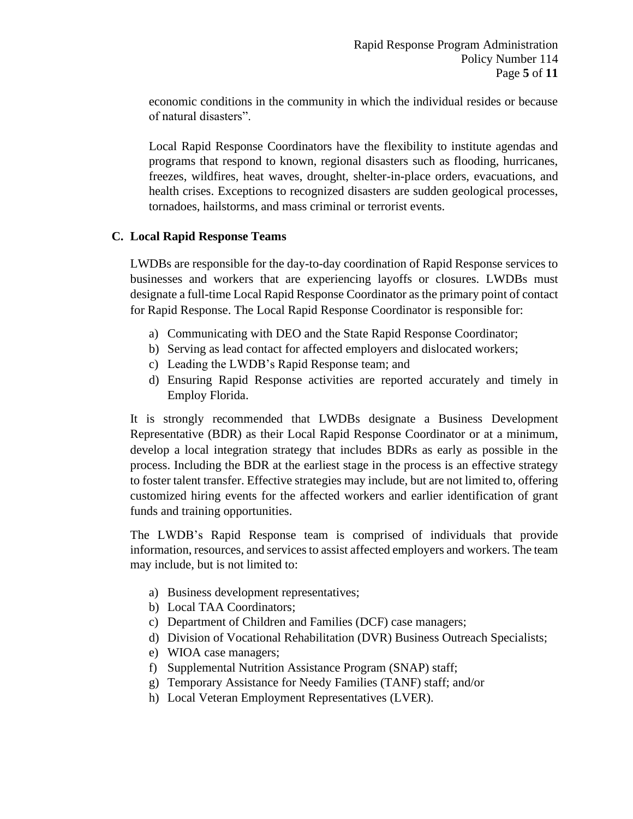economic conditions in the community in which the individual resides or because of natural disasters".

Local Rapid Response Coordinators have the flexibility to institute agendas and programs that respond to known, regional disasters such as flooding, hurricanes, freezes, wildfires, heat waves, drought, shelter-in-place orders, evacuations, and health crises. Exceptions to recognized disasters are sudden geological processes, tornadoes, hailstorms, and mass criminal or terrorist events.

## **C. Local Rapid Response Teams**

LWDBs are responsible for the day-to-day coordination of Rapid Response services to businesses and workers that are experiencing layoffs or closures. LWDBs must designate a full-time Local Rapid Response Coordinator as the primary point of contact for Rapid Response. The Local Rapid Response Coordinator is responsible for:

- a) Communicating with DEO and the State Rapid Response Coordinator;
- b) Serving as lead contact for affected employers and dislocated workers;
- c) Leading the LWDB's Rapid Response team; and
- d) Ensuring Rapid Response activities are reported accurately and timely in Employ Florida.

It is strongly recommended that LWDBs designate a Business Development Representative (BDR) as their Local Rapid Response Coordinator or at a minimum, develop a local integration strategy that includes BDRs as early as possible in the process. Including the BDR at the earliest stage in the process is an effective strategy to foster talent transfer. Effective strategies may include, but are not limited to, offering customized hiring events for the affected workers and earlier identification of grant funds and training opportunities.

The LWDB's Rapid Response team is comprised of individuals that provide information, resources, and services to assist affected employers and workers. The team may include, but is not limited to:

- a) Business development representatives;
- b) Local TAA Coordinators;
- c) Department of Children and Families (DCF) case managers;
- d) Division of Vocational Rehabilitation (DVR) Business Outreach Specialists;
- e) WIOA case managers;
- f) Supplemental Nutrition Assistance Program (SNAP) staff;
- g) Temporary Assistance for Needy Families (TANF) staff; and/or
- h) Local Veteran Employment Representatives (LVER).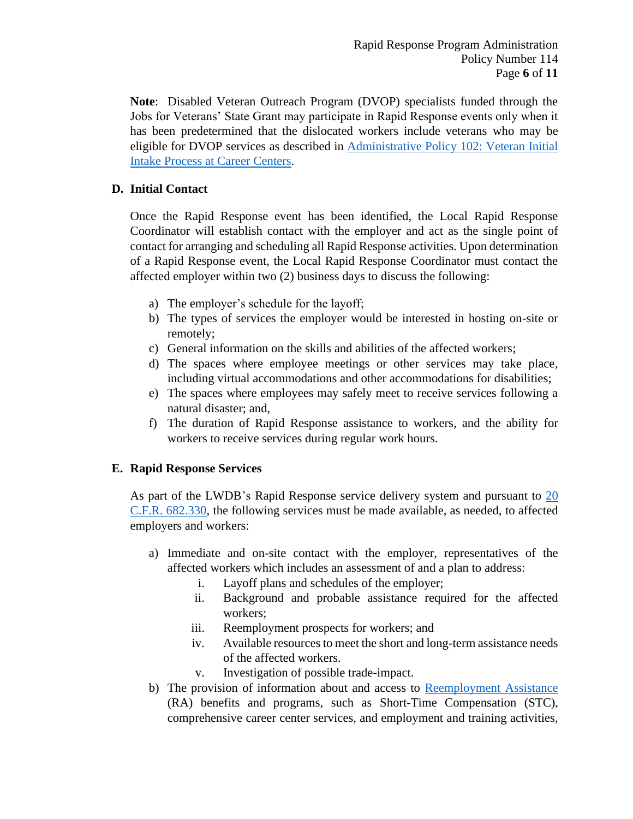**Note**: Disabled Veteran Outreach Program (DVOP) specialists funded through the Jobs for Veterans' State Grant may participate in Rapid Response events only when it has been predetermined that the dislocated workers include veterans who may be eligible for DVOP services as described in [Administrative Policy 102:](http://floridajobs.org/local-workforce-development-board-resources/policy-and-guidance/guidance-papers) Veteran Initial [Intake Process at Career Centers.](http://floridajobs.org/local-workforce-development-board-resources/policy-and-guidance/guidance-papers)

# **D. Initial Contact**

Once the Rapid Response event has been identified, the Local Rapid Response Coordinator will establish contact with the employer and act as the single point of contact for arranging and scheduling all Rapid Response activities. Upon determination of a Rapid Response event, the Local Rapid Response Coordinator must contact the affected employer within two (2) business days to discuss the following:

- a) The employer's schedule for the layoff;
- b) The types of services the employer would be interested in hosting on-site or remotely;
- c) General information on the skills and abilities of the affected workers;
- d) The spaces where employee meetings or other services may take place, including virtual accommodations and other accommodations for disabilities;
- e) The spaces where employees may safely meet to receive services following a natural disaster; and,
- f) The duration of Rapid Response assistance to workers, and the ability for workers to receive services during regular work hours.

# **E. Rapid Response Services**

As part of the LWDB's Rapid Response service delivery system and pursuant to [20](https://ecfr.io/Title-20/Section-682.330)  [C.F.R. 682.330,](https://ecfr.io/Title-20/Section-682.330) the following services must be made available, as needed, to affected employers and workers:

- a) Immediate and on-site contact with the employer, representatives of the affected workers which includes an assessment of and a plan to address:
	- i. Layoff plans and schedules of the employer;
	- ii. Background and probable assistance required for the affected workers;
	- iii. Reemployment prospects for workers; and
	- iv. Available resources to meet the short and long-term assistance needs of the affected workers.
	- v. Investigation of possible trade-impact.
- b) The provision of information about and access to [Reemployment Assistance](https://floridajobs.org/Reemployment-Assistance-Service-Center/reemployment-assistance/claimants) (RA) benefits and programs, such as Short-Time Compensation (STC), comprehensive career center services, and employment and training activities,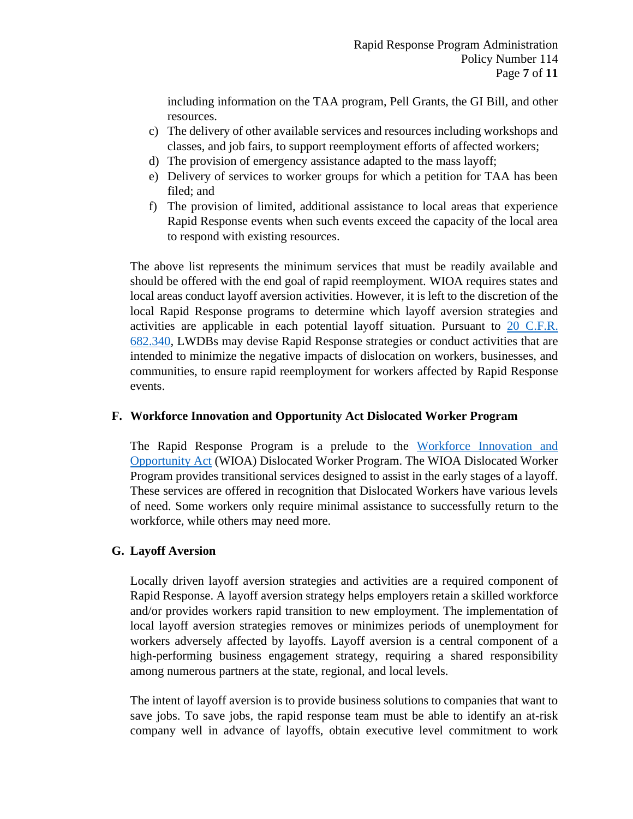including information on the TAA program, Pell Grants, the GI Bill, and other resources.

- c) The delivery of other available services and resources including workshops and classes, and job fairs, to support reemployment efforts of affected workers;
- d) The provision of emergency assistance adapted to the mass layoff;
- e) Delivery of services to worker groups for which a petition for TAA has been filed; and
- f) The provision of limited, additional assistance to local areas that experience Rapid Response events when such events exceed the capacity of the local area to respond with existing resources.

The above list represents the minimum services that must be readily available and should be offered with the end goal of rapid reemployment. WIOA requires states and local areas conduct layoff aversion activities. However, it is left to the discretion of the local Rapid Response programs to determine which layoff aversion strategies and activities are applicable in each potential layoff situation. Pursuant to [20 C.F.R.](https://ecfr.io/Title-20/Section-682.340)  [682.340,](https://ecfr.io/Title-20/Section-682.340) LWDBs may devise Rapid Response strategies or conduct activities that are intended to minimize the negative impacts of dislocation on workers, businesses, and communities, to ensure rapid reemployment for workers affected by Rapid Response events.

### **F. Workforce Innovation and Opportunity Act Dislocated Worker Program**

The Rapid Response Program is a prelude to the [Workforce Innovation and](https://floridajobs.org/office-directory/division-of-workforce-services/workforce-programs/workforce-investment-act)  [Opportunity Act](https://floridajobs.org/office-directory/division-of-workforce-services/workforce-programs/workforce-investment-act) (WIOA) Dislocated Worker Program. The WIOA Dislocated Worker Program provides transitional services designed to assist in the early stages of a layoff. These services are offered in recognition that Dislocated Workers have various levels of need. Some workers only require minimal assistance to successfully return to the workforce, while others may need more.

#### **G. Layoff Aversion**

Locally driven layoff aversion strategies and activities are a required component of Rapid Response. A layoff aversion strategy helps employers retain a skilled workforce and/or provides workers rapid transition to new employment. The implementation of local layoff aversion strategies removes or minimizes periods of unemployment for workers adversely affected by layoffs. Layoff aversion is a central component of a high-performing business engagement strategy, requiring a shared responsibility among numerous partners at the state, regional, and local levels.

The intent of layoff aversion is to provide business solutions to companies that want to save jobs. To save jobs, the rapid response team must be able to identify an at-risk company well in advance of layoffs, obtain executive level commitment to work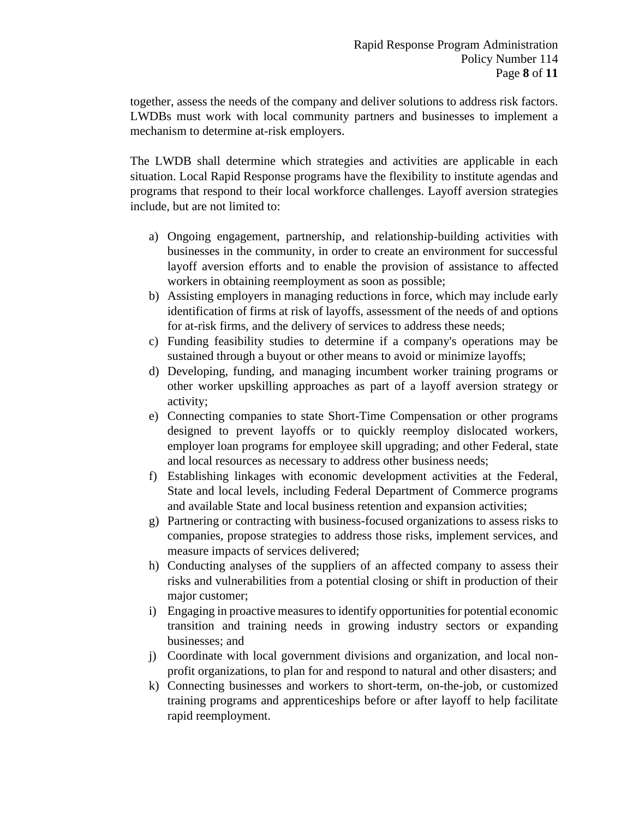together, assess the needs of the company and deliver solutions to address risk factors. LWDBs must work with local community partners and businesses to implement a mechanism to determine at-risk employers.

The LWDB shall determine which strategies and activities are applicable in each situation. Local Rapid Response programs have the flexibility to institute agendas and programs that respond to their local workforce challenges. Layoff aversion strategies include, but are not limited to:

- a) Ongoing engagement, partnership, and relationship-building activities with businesses in the community, in order to create an environment for successful layoff aversion efforts and to enable the provision of assistance to affected workers in obtaining reemployment as soon as possible;
- b) Assisting employers in managing reductions in force, which may include early identification of firms at risk of layoffs, assessment of the needs of and options for at-risk firms, and the delivery of services to address these needs;
- c) Funding feasibility studies to determine if a company's operations may be sustained through a buyout or other means to avoid or minimize layoffs;
- d) Developing, funding, and managing incumbent worker training programs or other worker upskilling approaches as part of a layoff aversion strategy or activity;
- e) Connecting companies to state Short-Time Compensation or other programs designed to prevent layoffs or to quickly reemploy dislocated workers, employer loan programs for employee skill upgrading; and other Federal, state and local resources as necessary to address other business needs;
- f) Establishing linkages with economic development activities at the Federal, State and local levels, including Federal Department of Commerce programs and available State and local business retention and expansion activities;
- g) Partnering or contracting with business-focused organizations to assess risks to companies, propose strategies to address those risks, implement services, and measure impacts of services delivered;
- h) Conducting analyses of the suppliers of an affected company to assess their risks and vulnerabilities from a potential closing or shift in production of their major customer;
- i) Engaging in proactive measures to identify opportunities for potential economic transition and training needs in growing industry sectors or expanding businesses; and
- j) Coordinate with local government divisions and organization, and local nonprofit organizations, to plan for and respond to natural and other disasters; and
- k) Connecting businesses and workers to short-term, on-the-job, or customized training programs and apprenticeships before or after layoff to help facilitate rapid reemployment.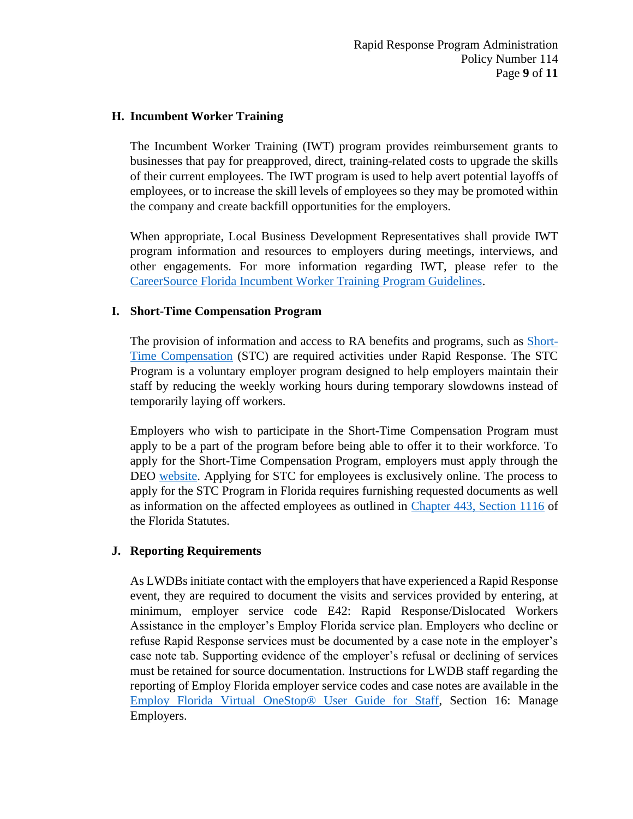### **H. Incumbent Worker Training**

The Incumbent Worker Training (IWT) program provides reimbursement grants to businesses that pay for preapproved, direct, training-related costs to upgrade the skills of their current employees. The IWT program is used to help avert potential layoffs of employees, or to increase the skill levels of employees so they may be promoted within the company and create backfill opportunities for the employers.

When appropriate, Local Business Development Representatives shall provide IWT program information and resources to employers during meetings, interviews, and other engagements. For more information regarding IWT, please refer to the [CareerSource Florida Incumbent Worker Training Program Guidelines.](https://careersourceflorida.com/wp-content/uploads/2018/06/Incumbent_Worker_Training_Guidelines.pdf)

### **I. Short-Time Compensation Program**

The provision of information and access to RA benefits and programs, such as [Short-](https://floridajobs.org/docs/default-source/lwdb-resources/programs-and-resources/react/short-time-compensation-flyer-2020.pdf?sfvrsn=f7434db0_2)[Time Compensation](https://floridajobs.org/docs/default-source/lwdb-resources/programs-and-resources/react/short-time-compensation-flyer-2020.pdf?sfvrsn=f7434db0_2) (STC) are required activities under Rapid Response. The STC Program is a voluntary employer program designed to help employers maintain their staff by reducing the weekly working hours during temporary slowdowns instead of temporarily laying off workers.

Employers who wish to participate in the Short-Time Compensation Program must apply to be a part of the program before being able to offer it to their workforce. To apply for the Short-Time Compensation Program, employers must apply through the DEO [website.](https://floridajobs.org/office-directory/division-of-workforce-services/reemployment-assistance-programs/short-time-compensation-program-for-employers) Applying for STC for employees is exclusively online. The process to apply for the STC Program in Florida requires furnishing requested documents as well as information on the affected employees as outlined in [Chapter 443, Section 1116](http://www.leg.state.fl.us/statutes/index.cfm?App_mode=Display_Statute&URL=0400-0499/0443/0443.html) of the Florida Statutes.

## **J. Reporting Requirements**

As LWDBs initiate contact with the employers that have experienced a Rapid Response event, they are required to document the visits and services provided by entering, at minimum, employer service code E42: Rapid Response/Dislocated Workers Assistance in the employer's Employ Florida service plan. Employers who decline or refuse Rapid Response services must be documented by a case note in the employer's case note tab. Supporting evidence of the employer's refusal or declining of services must be retained for source documentation. Instructions for LWDB staff regarding the reporting of Employ Florida employer service codes and case notes are available in the [Employ Florida Virtual OneStop® User Guide for Staff,](https://www.employflorida.com/gsipub/index.asp?docid=825) Section 16: Manage Employers.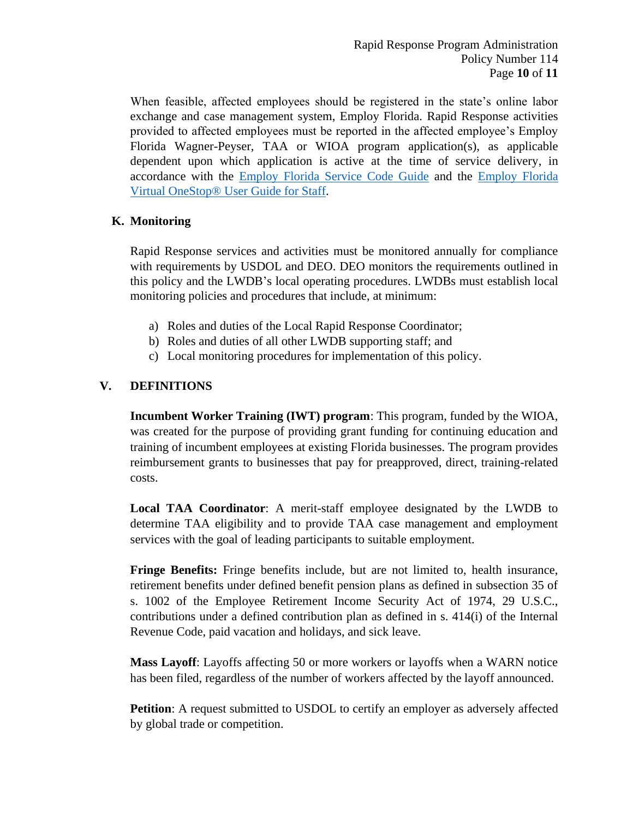When feasible, affected employees should be registered in the state's online labor exchange and case management system, Employ Florida. Rapid Response activities provided to affected employees must be reported in the affected employee's Employ Florida Wagner-Peyser, TAA or WIOA program application(s), as applicable dependent upon which application is active at the time of service delivery, in accordance with the Employ Florida [Service Code Guide](http://www.floridajobs.org/local-workforce-development-board-resources/programs-and-resources/program-resources) and the [Employ Florida](https://www.employflorida.com/gsipub/index.asp?docid=825)  [Virtual OneStop® User Guide for Staff.](https://www.employflorida.com/gsipub/index.asp?docid=825)

# **K. Monitoring**

Rapid Response services and activities must be monitored annually for compliance with requirements by USDOL and DEO. DEO monitors the requirements outlined in this policy and the LWDB's local operating procedures. LWDBs must establish local monitoring policies and procedures that include, at minimum:

- a) Roles and duties of the Local Rapid Response Coordinator;
- b) Roles and duties of all other LWDB supporting staff; and
- c) Local monitoring procedures for implementation of this policy.

# **V. DEFINITIONS**

**Incumbent Worker Training (IWT) program**: This program, funded by the WIOA, was created for the purpose of providing grant funding for continuing education and training of incumbent employees at existing Florida businesses. The program provides reimbursement grants to businesses that pay for preapproved, direct, training-related costs.

**Local TAA Coordinator**: A merit-staff employee designated by the LWDB to determine TAA eligibility and to provide TAA case management and employment services with the goal of leading participants to suitable employment.

**Fringe Benefits:** Fringe benefits include, but are not limited to, health insurance, retirement benefits under defined benefit pension plans as defined in subsection 35 of s. 1002 of the Employee Retirement Income Security Act of 1974, 29 U.S.C., contributions under a defined contribution plan as defined in s. 414(i) of the Internal Revenue Code, paid vacation and holidays, and sick leave.

**Mass Layoff**: Layoffs affecting 50 or more workers or layoffs when a WARN notice has been filed, regardless of the number of workers affected by the layoff announced.

**Petition**: A request submitted to USDOL to certify an employer as adversely affected by global trade or competition.